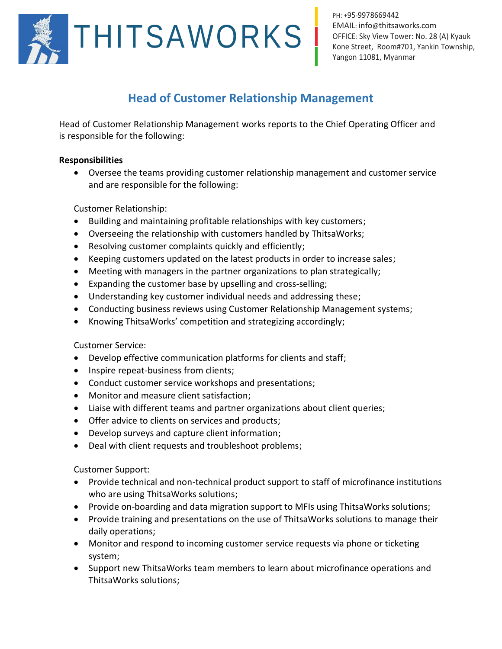

PH: +95-9978669442 EMAIL: info@[thitsaworks](mailto:info@thitsaworks.com).com OFFICE: Sky View Tower: No. 28 (A) Kyauk Kone Street, Room#701, Yankin Township, Yangon 11081, Myanmar

## **Head of Customer Relationship Management**

Head of Customer Relationship Management works reports to the Chief Operating Officer and is responsible for the following:

## **Responsibilities**

• Oversee the teams providing customer relationship management and customer service and are responsible for the following:

Customer Relationship:

- Building and maintaining profitable relationships with key customers;
- Overseeing the relationship with customers handled by ThitsaWorks;
- Resolving customer complaints quickly and efficiently;
- Keeping customers updated on the latest products in order to increase sales;
- Meeting with managers in the partner organizations to plan strategically;
- Expanding the customer base by upselling and cross-selling;
- Understanding key customer individual needs and addressing these;
- Conducting business reviews using Customer Relationship Management systems;
- Knowing ThitsaWorks' competition and strategizing accordingly;

Customer Service:

- Develop effective communication platforms for clients and staff;
- Inspire repeat-business from clients;
- Conduct customer service workshops and presentations;
- Monitor and measure client satisfaction;
- Liaise with different teams and partner organizations about client queries;
- Offer advice to clients on services and products;
- Develop surveys and capture client information;
- Deal with client requests and troubleshoot problems;

Customer Support:

- Provide technical and non-technical product support to staff of microfinance institutions who are using ThitsaWorks solutions;
- Provide on-boarding and data migration support to MFIs using ThitsaWorks solutions;
- Provide training and presentations on the use of ThitsaWorks solutions to manage their daily operations;
- Monitor and respond to incoming customer service requests via phone or ticketing system;
- Support new ThitsaWorks team members to learn about microfinance operations and ThitsaWorks solutions;